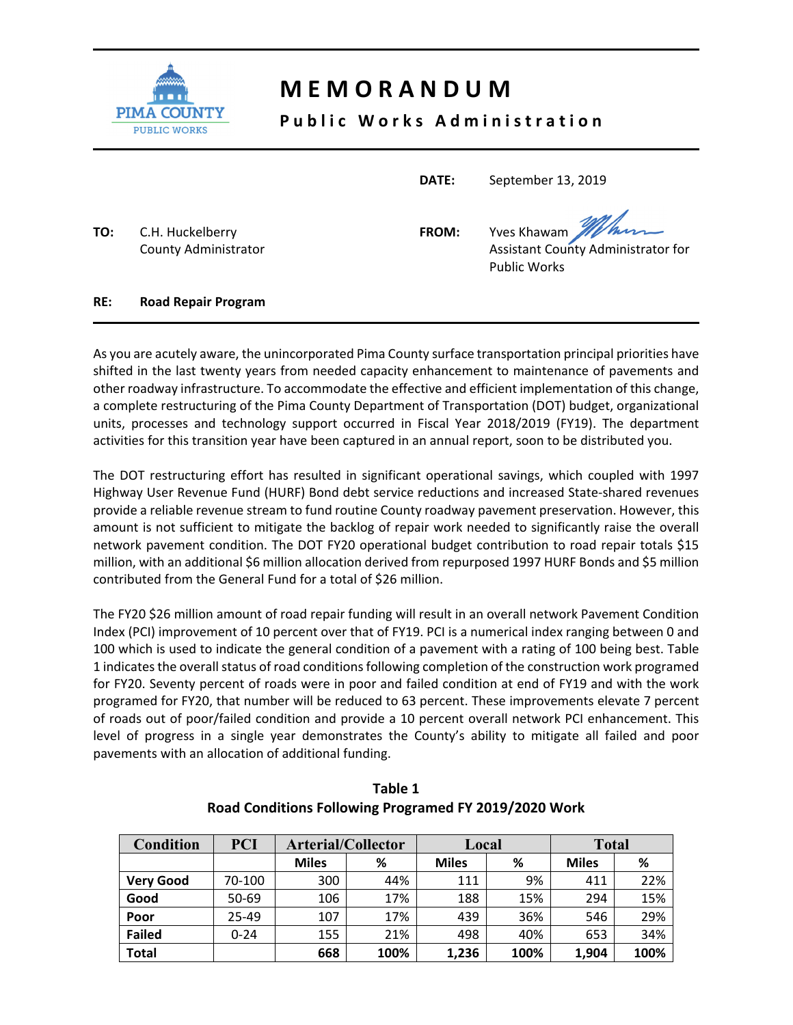

## **M E M O R A N D U M**

## Public Works Administration

**DATE:**  September 13, 2019

Public Works

**TO:**  C.H. Huckelberry **FROM:**  Yves Khawam

County Administrator **County Administrator Assistant County Administrator for** 

**RE: Road Repair Program**

As you are acutely aware, the unincorporated Pima County surface transportation principal priorities have shifted in the last twenty years from needed capacity enhancement to maintenance of pavements and other roadway infrastructure. To accommodate the effective and efficient implementation of this change, a complete restructuring of the Pima County Department of Transportation (DOT) budget, organizational units, processes and technology support occurred in Fiscal Year 2018/2019 (FY19). The department activities for this transition year have been captured in an annual report, soon to be distributed you.

The DOT restructuring effort has resulted in significant operational savings, which coupled with 1997 Highway User Revenue Fund (HURF) Bond debt service reductions and increased State‐shared revenues provide a reliable revenue stream to fund routine County roadway pavement preservation. However, this amount is not sufficient to mitigate the backlog of repair work needed to significantly raise the overall network pavement condition. The DOT FY20 operational budget contribution to road repair totals \$15 million, with an additional \$6 million allocation derived from repurposed 1997 HURF Bonds and \$5 million contributed from the General Fund for a total of \$26 million.

The FY20 \$26 million amount of road repair funding will result in an overall network Pavement Condition Index (PCI) improvement of 10 percent over that of FY19. PCI is a numerical index ranging between 0 and 100 which is used to indicate the general condition of a pavement with a rating of 100 being best. Table 1 indicates the overall status of road conditions following completion of the construction work programed for FY20. Seventy percent of roads were in poor and failed condition at end of FY19 and with the work programed for FY20, that number will be reduced to 63 percent. These improvements elevate 7 percent of roads out of poor/failed condition and provide a 10 percent overall network PCI enhancement. This level of progress in a single year demonstrates the County's ability to mitigate all failed and poor pavements with an allocation of additional funding.

| <b>Condition</b> | <b>PCI</b> | <b>Arterial/Collector</b> |      | Local        |      | <b>Total</b> |      |
|------------------|------------|---------------------------|------|--------------|------|--------------|------|
|                  |            | <b>Miles</b>              | %    | <b>Miles</b> | %    | <b>Miles</b> | %    |
| <b>Very Good</b> | 70-100     | 300                       | 44%  | 111          | 9%   | 411          | 22%  |
| Good             | 50-69      | 106                       | 17%  | 188          | 15%  | 294          | 15%  |
| Poor             | $25 - 49$  | 107                       | 17%  | 439          | 36%  | 546          | 29%  |
| <b>Failed</b>    | $0 - 24$   | 155                       | 21%  | 498          | 40%  | 653          | 34%  |
| <b>Total</b>     |            | 668                       | 100% | 1,236        | 100% | 1,904        | 100% |

**Table 1 Road Conditions Following Programed FY 2019/2020 Work**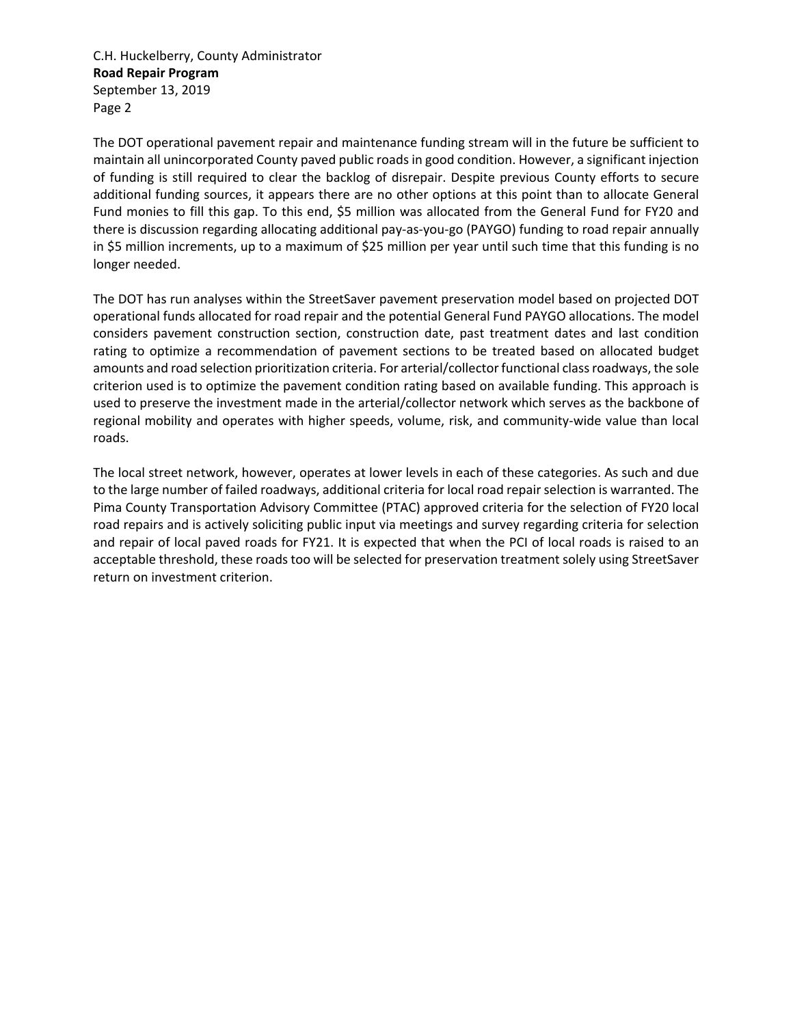C.H. Huckelberry, County Administrator **Road Repair Program**  September 13, 2019 Page 2

The DOT operational pavement repair and maintenance funding stream will in the future be sufficient to maintain all unincorporated County paved public roads in good condition. However, a significant injection of funding is still required to clear the backlog of disrepair. Despite previous County efforts to secure additional funding sources, it appears there are no other options at this point than to allocate General Fund monies to fill this gap. To this end, \$5 million was allocated from the General Fund for FY20 and there is discussion regarding allocating additional pay‐as‐you‐go (PAYGO) funding to road repair annually in \$5 million increments, up to a maximum of \$25 million per year until such time that this funding is no longer needed.

The DOT has run analyses within the StreetSaver pavement preservation model based on projected DOT operational funds allocated for road repair and the potential General Fund PAYGO allocations. The model considers pavement construction section, construction date, past treatment dates and last condition rating to optimize a recommendation of pavement sections to be treated based on allocated budget amounts and road selection prioritization criteria. For arterial/collector functional class roadways, the sole criterion used is to optimize the pavement condition rating based on available funding. This approach is used to preserve the investment made in the arterial/collector network which serves as the backbone of regional mobility and operates with higher speeds, volume, risk, and community-wide value than local roads.

The local street network, however, operates at lower levels in each of these categories. As such and due to the large number of failed roadways, additional criteria for local road repair selection is warranted. The Pima County Transportation Advisory Committee (PTAC) approved criteria for the selection of FY20 local road repairs and is actively soliciting public input via meetings and survey regarding criteria for selection and repair of local paved roads for FY21. It is expected that when the PCI of local roads is raised to an acceptable threshold, these roads too will be selected for preservation treatment solely using StreetSaver return on investment criterion.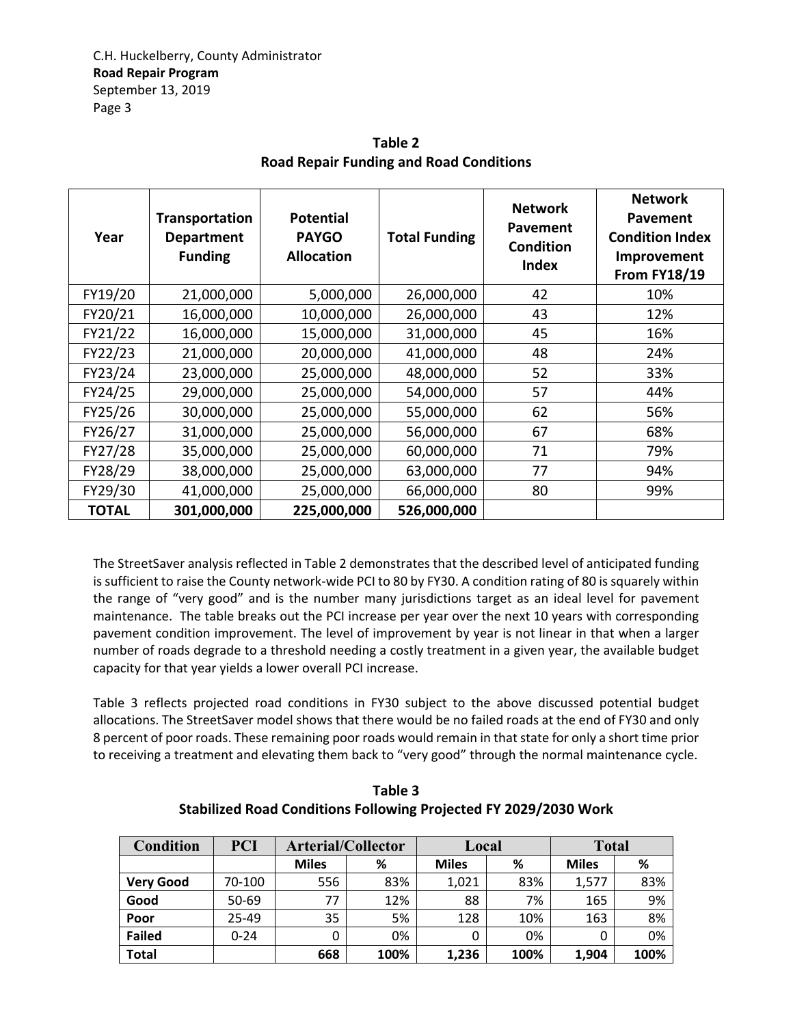| Year         | Transportation<br><b>Department</b><br><b>Funding</b> | <b>Potential</b><br><b>PAYGO</b><br><b>Allocation</b> | <b>Total Funding</b> | <b>Network</b><br><b>Pavement</b><br><b>Condition</b><br><b>Index</b> | <b>Network</b><br>Pavement<br><b>Condition Index</b><br>Improvement<br><b>From FY18/19</b> |
|--------------|-------------------------------------------------------|-------------------------------------------------------|----------------------|-----------------------------------------------------------------------|--------------------------------------------------------------------------------------------|
| FY19/20      | 21,000,000                                            | 5,000,000                                             | 26,000,000           | 42                                                                    | 10%                                                                                        |
| FY20/21      | 16,000,000                                            | 10,000,000                                            | 26,000,000           | 43                                                                    | 12%                                                                                        |
| FY21/22      | 16,000,000                                            | 15,000,000                                            | 31,000,000           | 45                                                                    | 16%                                                                                        |
| FY22/23      | 21,000,000                                            | 20,000,000                                            | 41,000,000           | 48                                                                    | 24%                                                                                        |
| FY23/24      | 23,000,000                                            | 25,000,000                                            | 48,000,000           | 52                                                                    | 33%                                                                                        |
| FY24/25      | 29,000,000                                            | 25,000,000                                            | 54,000,000           | 57                                                                    | 44%                                                                                        |
| FY25/26      | 30,000,000                                            | 25,000,000                                            | 55,000,000           | 62                                                                    | 56%                                                                                        |
| FY26/27      | 31,000,000                                            | 25,000,000                                            | 56,000,000           | 67                                                                    | 68%                                                                                        |
| FY27/28      | 35,000,000                                            | 25,000,000                                            | 60,000,000           | 71                                                                    | 79%                                                                                        |
| FY28/29      | 38,000,000                                            | 25,000,000                                            | 63,000,000           | 77                                                                    | 94%                                                                                        |
| FY29/30      | 41,000,000                                            | 25,000,000                                            | 66,000,000           | 80                                                                    | 99%                                                                                        |
| <b>TOTAL</b> | 301,000,000                                           | 225,000,000                                           | 526,000,000          |                                                                       |                                                                                            |

**Table 2 Road Repair Funding and Road Conditions** 

The StreetSaver analysis reflected in Table 2 demonstrates that the described level of anticipated funding is sufficient to raise the County network-wide PCI to 80 by FY30. A condition rating of 80 is squarely within the range of "very good" and is the number many jurisdictions target as an ideal level for pavement maintenance. The table breaks out the PCI increase per year over the next 10 years with corresponding pavement condition improvement. The level of improvement by year is not linear in that when a larger number of roads degrade to a threshold needing a costly treatment in a given year, the available budget capacity for that year yields a lower overall PCI increase.

Table 3 reflects projected road conditions in FY30 subject to the above discussed potential budget allocations. The StreetSaver model shows that there would be no failed roads at the end of FY30 and only 8 percent of poor roads. These remaining poor roads would remain in that state for only a short time prior to receiving a treatment and elevating them back to "very good" through the normal maintenance cycle.

| <b>Condition</b> | <b>PCI</b> | <b>Arterial/Collector</b> |      | Local        |      | <b>Total</b> |      |
|------------------|------------|---------------------------|------|--------------|------|--------------|------|
|                  |            | <b>Miles</b>              | %    | <b>Miles</b> | %    | <b>Miles</b> | ℅    |
| <b>Very Good</b> | 70-100     | 556                       | 83%  | 1,021        | 83%  | 1,577        | 83%  |
| Good             | 50-69      | 77                        | 12%  | 88           | 7%   | 165          | 9%   |
| Poor             | 25-49      | 35                        | 5%   | 128          | 10%  | 163          | 8%   |
| <b>Failed</b>    | $0 - 24$   | 0                         | 0%   | 0            | 0%   | 0            | 0%   |
| <b>Total</b>     |            | 668                       | 100% | 1,236        | 100% | 1,904        | 100% |

**Table 3 Stabilized Road Conditions Following Projected FY 2029/2030 Work**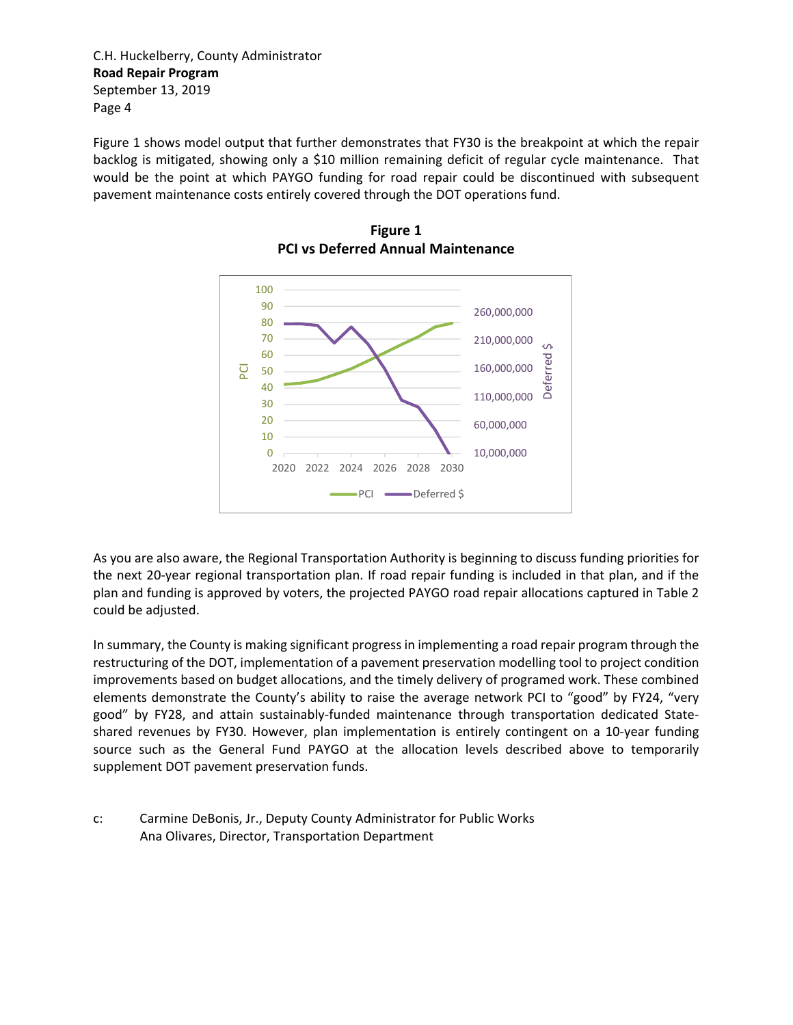C.H. Huckelberry, County Administrator **Road Repair Program**  September 13, 2019 Page 4

Figure 1 shows model output that further demonstrates that FY30 is the breakpoint at which the repair backlog is mitigated, showing only a \$10 million remaining deficit of regular cycle maintenance. That would be the point at which PAYGO funding for road repair could be discontinued with subsequent pavement maintenance costs entirely covered through the DOT operations fund.



**Figure 1 PCI vs Deferred Annual Maintenance** 

As you are also aware, the Regional Transportation Authority is beginning to discuss funding priorities for the next 20‐year regional transportation plan. If road repair funding is included in that plan, and if the plan and funding is approved by voters, the projected PAYGO road repair allocations captured in Table 2 could be adjusted.

In summary, the County is making significant progress in implementing a road repair program through the restructuring of the DOT, implementation of a pavement preservation modelling tool to project condition improvements based on budget allocations, and the timely delivery of programed work. These combined elements demonstrate the County's ability to raise the average network PCI to "good" by FY24, "very good" by FY28, and attain sustainably-funded maintenance through transportation dedicated Stateshared revenues by FY30. However, plan implementation is entirely contingent on a 10-year funding source such as the General Fund PAYGO at the allocation levels described above to temporarily supplement DOT pavement preservation funds.

c: Carmine DeBonis, Jr., Deputy County Administrator for Public Works Ana Olivares, Director, Transportation Department